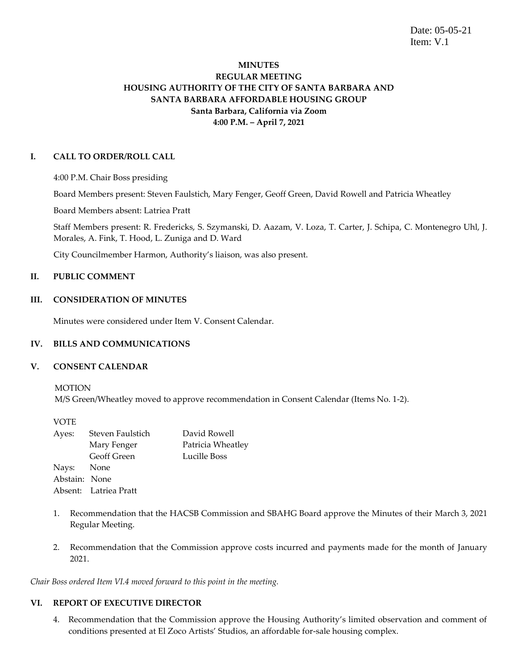Date: 05-05-21 Item: V.1

# **MINUTES REGULAR MEETING HOUSING AUTHORITY OF THE CITY OF SANTA BARBARA AND SANTA BARBARA AFFORDABLE HOUSING GROUP Santa Barbara, California via Zoom 4:00 P.M. – April 7, 2021**

## **I. CALL TO ORDER/ROLL CALL**

4:00 P.M. Chair Boss presiding

Board Members present: Steven Faulstich, Mary Fenger, Geoff Green, David Rowell and Patricia Wheatley

Board Members absent: Latriea Pratt

Staff Members present: R. Fredericks, S. Szymanski, D. Aazam, V. Loza, T. Carter, J. Schipa, C. Montenegro Uhl, J. Morales, A. Fink, T. Hood, L. Zuniga and D. Ward

City Councilmember Harmon, Authority's liaison, was also present.

# **II. PUBLIC COMMENT**

## **III. CONSIDERATION OF MINUTES**

Minutes were considered under Item V. Consent Calendar.

# **IV. BILLS AND COMMUNICATIONS**

### **V. CONSENT CALENDAR**

MOTION

M/S Green/Wheatley moved to approve recommendation in Consent Calendar (Items No. 1-2).

VOTE

| Ayes:         | Steven Faulstich      | David Rowell      |
|---------------|-----------------------|-------------------|
|               | Mary Fenger           | Patricia Wheatley |
|               | Geoff Green           | Lucille Boss      |
| Nays: None    |                       |                   |
| Abstain: None |                       |                   |
|               | Absent: Latriea Pratt |                   |

- 1. Recommendation that the HACSB Commission and SBAHG Board approve the Minutes of their March 3, 2021 Regular Meeting.
- 2. Recommendation that the Commission approve costs incurred and payments made for the month of January 2021.

*Chair Boss ordered Item VI.4 moved forward to this point in the meeting.*

### **VI. REPORT OF EXECUTIVE DIRECTOR**

4. Recommendation that the Commission approve the Housing Authority's limited observation and comment of conditions presented at El Zoco Artists' Studios, an affordable for-sale housing complex.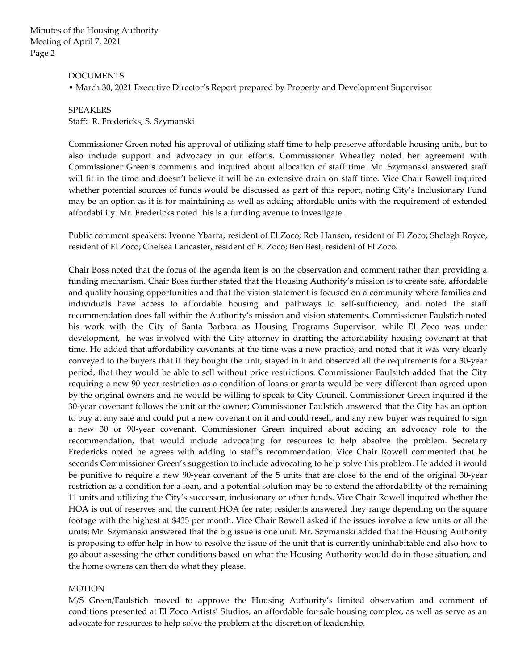#### DOCUMENTS

• March 30, 2021 Executive Director's Report prepared by Property and Development Supervisor

# SPEAKERS Staff: R. Fredericks, S. Szymanski

Commissioner Green noted his approval of utilizing staff time to help preserve affordable housing units, but to also include support and advocacy in our efforts. Commissioner Wheatley noted her agreement with Commissioner Green's comments and inquired about allocation of staff time. Mr. Szymanski answered staff will fit in the time and doesn't believe it will be an extensive drain on staff time. Vice Chair Rowell inquired whether potential sources of funds would be discussed as part of this report, noting City's Inclusionary Fund may be an option as it is for maintaining as well as adding affordable units with the requirement of extended affordability. Mr. Fredericks noted this is a funding avenue to investigate.

Public comment speakers: Ivonne Ybarra, resident of El Zoco; Rob Hansen, resident of El Zoco; Shelagh Royce, resident of El Zoco; Chelsea Lancaster, resident of El Zoco; Ben Best, resident of El Zoco.

Chair Boss noted that the focus of the agenda item is on the observation and comment rather than providing a funding mechanism. Chair Boss further stated that the Housing Authority's mission is to create safe, affordable and quality housing opportunities and that the vision statement is focused on a community where families and individuals have access to affordable housing and pathways to self-sufficiency, and noted the staff recommendation does fall within the Authority's mission and vision statements. Commissioner Faulstich noted his work with the City of Santa Barbara as Housing Programs Supervisor, while El Zoco was under development, he was involved with the City attorney in drafting the affordability housing covenant at that time. He added that affordability covenants at the time was a new practice; and noted that it was very clearly conveyed to the buyers that if they bought the unit, stayed in it and observed all the requirements for a 30-year period, that they would be able to sell without price restrictions. Commissioner Faulsitch added that the City requiring a new 90-year restriction as a condition of loans or grants would be very different than agreed upon by the original owners and he would be willing to speak to City Council. Commissioner Green inquired if the 30-year covenant follows the unit or the owner; Commissioner Faulstich answered that the City has an option to buy at any sale and could put a new covenant on it and could resell, and any new buyer was required to sign a new 30 or 90-year covenant. Commissioner Green inquired about adding an advocacy role to the recommendation, that would include advocating for resources to help absolve the problem. Secretary Fredericks noted he agrees with adding to staff's recommendation. Vice Chair Rowell commented that he seconds Commissioner Green's suggestion to include advocating to help solve this problem. He added it would be punitive to require a new 90-year covenant of the 5 units that are close to the end of the original 30-year restriction as a condition for a loan, and a potential solution may be to extend the affordability of the remaining 11 units and utilizing the City's successor, inclusionary or other funds. Vice Chair Rowell inquired whether the HOA is out of reserves and the current HOA fee rate; residents answered they range depending on the square footage with the highest at \$435 per month. Vice Chair Rowell asked if the issues involve a few units or all the units; Mr. Szymanski answered that the big issue is one unit. Mr. Szymanski added that the Housing Authority is proposing to offer help in how to resolve the issue of the unit that is currently uninhabitable and also how to go about assessing the other conditions based on what the Housing Authority would do in those situation, and the home owners can then do what they please.

### **MOTION**

M/S Green/Faulstich moved to approve the Housing Authority's limited observation and comment of conditions presented at El Zoco Artists' Studios, an affordable for-sale housing complex, as well as serve as an advocate for resources to help solve the problem at the discretion of leadership.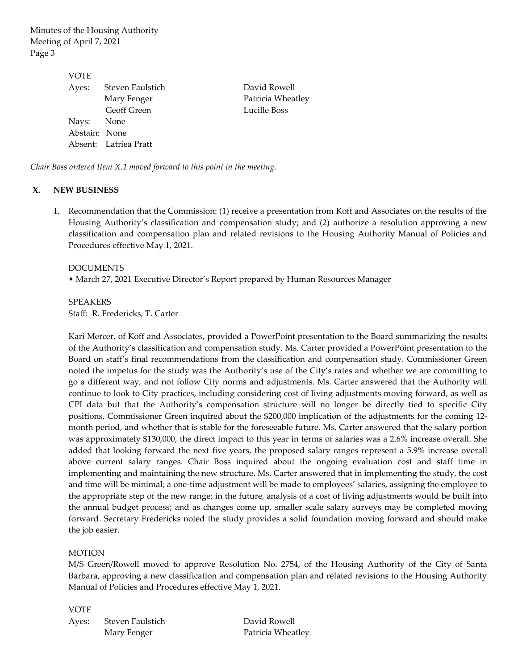| VOTE          |                       |                   |
|---------------|-----------------------|-------------------|
| Ayes:         | Steven Faulstich      | David Rowell      |
|               | Mary Fenger           | Patricia Wheatley |
|               | <b>Geoff Green</b>    | Lucille Boss      |
| Nays: None    |                       |                   |
| Abstain: None |                       |                   |
|               | Absent: Latriea Pratt |                   |

*Chair Boss ordered Item X.1 moved forward to this point in the meeting.*

## **X. NEW BUSINESS**

1. Recommendation that the Commission: (1) receive a presentation from Koff and Associates on the results of the Housing Authority's classification and compensation study; and (2) authorize a resolution approving a new classification and compensation plan and related revisions to the Housing Authority Manual of Policies and Procedures effective May 1, 2021.

### DOCUMENTS

• March 27, 2021 Executive Director's Report prepared by Human Resources Manager

SPEAKERS Staff: R. Fredericks, T. Carter

Kari Mercer, of Koff and Associates, provided a PowerPoint presentation to the Board summarizing the results of the Authority's classification and compensation study. Ms. Carter provided a PowerPoint presentation to the Board on staff's final recommendations from the classification and compensation study. Commissioner Green noted the impetus for the study was the Authority's use of the City's rates and whether we are committing to go a different way, and not follow City norms and adjustments. Ms. Carter answered that the Authority will continue to look to City practices, including considering cost of living adjustments moving forward, as well as CPI data but that the Authority's compensation structure will no longer be directly tied to specific City positions. Commissioner Green inquired about the \$200,000 implication of the adjustments for the coming 12 month period, and whether that is stable for the foreseeable future. Ms. Carter answered that the salary portion was approximately \$130,000, the direct impact to this year in terms of salaries was a 2.6% increase overall. She added that looking forward the next five years, the proposed salary ranges represent a 5.9% increase overall above current salary ranges. Chair Boss inquired about the ongoing evaluation cost and staff time in implementing and maintaining the new structure. Ms. Carter answered that in implementing the study, the cost and time will be minimal; a one-time adjustment will be made to employees' salaries, assigning the employee to the appropriate step of the new range; in the future, analysis of a cost of living adjustments would be built into the annual budget process; and as changes come up, smaller scale salary surveys may be completed moving forward. Secretary Fredericks noted the study provides a solid foundation moving forward and should make the job easier.

# **MOTION**

M/S Green/Rowell moved to approve Resolution No. 2754, of the Housing Authority of the City of Santa Barbara, approving a new classification and compensation plan and related revisions to the Housing Authority Manual of Policies and Procedures effective May 1, 2021.

VOTE Ayes: Steven Faulstich David Rowell

Mary Fenger Patricia Wheatley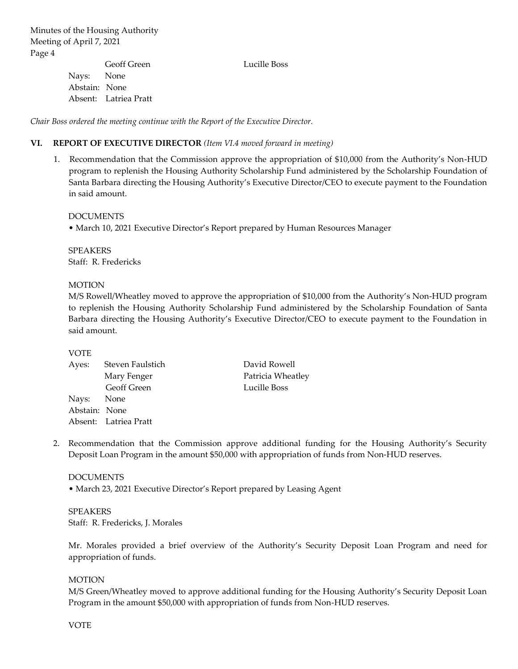|               | Geoff Green           | Lucille Boss |
|---------------|-----------------------|--------------|
| Nays: None    |                       |              |
| Abstain: None |                       |              |
|               | Absent: Latriea Pratt |              |

*Chair Boss ordered the meeting continue with the Report of the Executive Director.*

## **VI. REPORT OF EXECUTIVE DIRECTOR** *(Item VI.4 moved forward in meeting)*

1. Recommendation that the Commission approve the appropriation of \$10,000 from the Authority's Non-HUD program to replenish the Housing Authority Scholarship Fund administered by the Scholarship Foundation of Santa Barbara directing the Housing Authority's Executive Director/CEO to execute payment to the Foundation in said amount.

### DOCUMENTS

• March 10, 2021 Executive Director's Report prepared by Human Resources Manager

SPEAKERS Staff: R. Fredericks

### **MOTION**

M/S Rowell/Wheatley moved to approve the appropriation of \$10,000 from the Authority's Non-HUD program to replenish the Housing Authority Scholarship Fund administered by the Scholarship Foundation of Santa Barbara directing the Housing Authority's Executive Director/CEO to execute payment to the Foundation in said amount.

## VOTE

| Ayes:         | Steven Faulstich      | David Rowell      |
|---------------|-----------------------|-------------------|
|               | Mary Fenger           | Patricia Wheatley |
|               | Geoff Green           | Lucille Boss      |
| Nays: None    |                       |                   |
| Abstain: None |                       |                   |
|               | Absent: Latriea Pratt |                   |

2. Recommendation that the Commission approve additional funding for the Housing Authority's Security Deposit Loan Program in the amount \$50,000 with appropriation of funds from Non-HUD reserves.

#### DOCUMENTS

• March 23, 2021 Executive Director's Report prepared by Leasing Agent

SPEAKERS Staff: R. Fredericks, J. Morales

Mr. Morales provided a brief overview of the Authority's Security Deposit Loan Program and need for appropriation of funds.

### **MOTION**

M/S Green/Wheatley moved to approve additional funding for the Housing Authority's Security Deposit Loan Program in the amount \$50,000 with appropriation of funds from Non-HUD reserves.

VOTE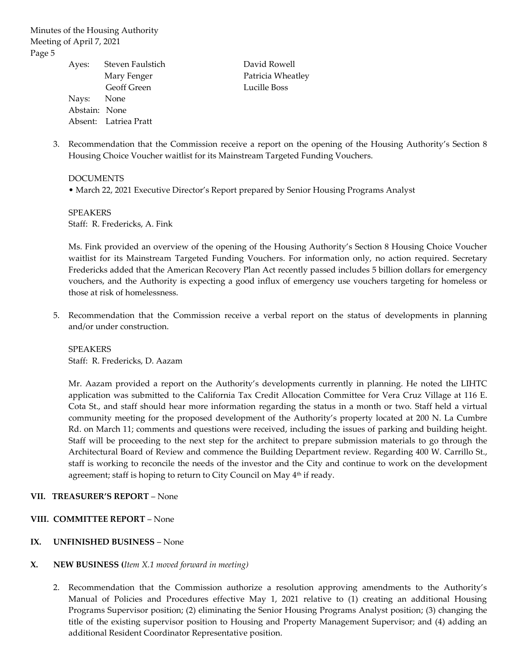| Ayes:         | Steven Faulstic       |
|---------------|-----------------------|
|               | Mary Fenger           |
|               | Geoff Green           |
| Nays:         | None                  |
| Abstain: None |                       |
|               | Absent: Latriea Pratt |

Steven Faulstich David Rowell Patricia Wheatley Lucille Boss

3. Recommendation that the Commission receive a report on the opening of the Housing Authority's Section 8 Housing Choice Voucher waitlist for its Mainstream Targeted Funding Vouchers.

DOCUMENTS • March 22, 2021 Executive Director's Report prepared by Senior Housing Programs Analyst

SPEAKERS Staff: R. Fredericks, A. Fink

Ms. Fink provided an overview of the opening of the Housing Authority's Section 8 Housing Choice Voucher waitlist for its Mainstream Targeted Funding Vouchers. For information only, no action required. Secretary Fredericks added that the American Recovery Plan Act recently passed includes 5 billion dollars for emergency vouchers, and the Authority is expecting a good influx of emergency use vouchers targeting for homeless or those at risk of homelessness.

5. Recommendation that the Commission receive a verbal report on the status of developments in planning and/or under construction.

SPEAKERS Staff: R. Fredericks, D. Aazam

Mr. Aazam provided a report on the Authority's developments currently in planning. He noted the LIHTC application was submitted to the California Tax Credit Allocation Committee for Vera Cruz Village at 116 E. Cota St., and staff should hear more information regarding the status in a month or two. Staff held a virtual community meeting for the proposed development of the Authority's property located at 200 N. La Cumbre Rd. on March 11; comments and questions were received, including the issues of parking and building height. Staff will be proceeding to the next step for the architect to prepare submission materials to go through the Architectural Board of Review and commence the Building Department review. Regarding 400 W. Carrillo St., staff is working to reconcile the needs of the investor and the City and continue to work on the development agreement; staff is hoping to return to City Council on May 4<sup>th</sup> if ready.

### **VII. TREASURER'S REPORT** – None

# **VIII. COMMITTEE REPORT** – None

# **IX. UNFINISHED BUSINESS** – None

### **X. NEW BUSINESS (***Item X.1 moved forward in meeting)*

2. Recommendation that the Commission authorize a resolution approving amendments to the Authority's Manual of Policies and Procedures effective May 1, 2021 relative to (1) creating an additional Housing Programs Supervisor position; (2) eliminating the Senior Housing Programs Analyst position; (3) changing the title of the existing supervisor position to Housing and Property Management Supervisor; and (4) adding an additional Resident Coordinator Representative position.